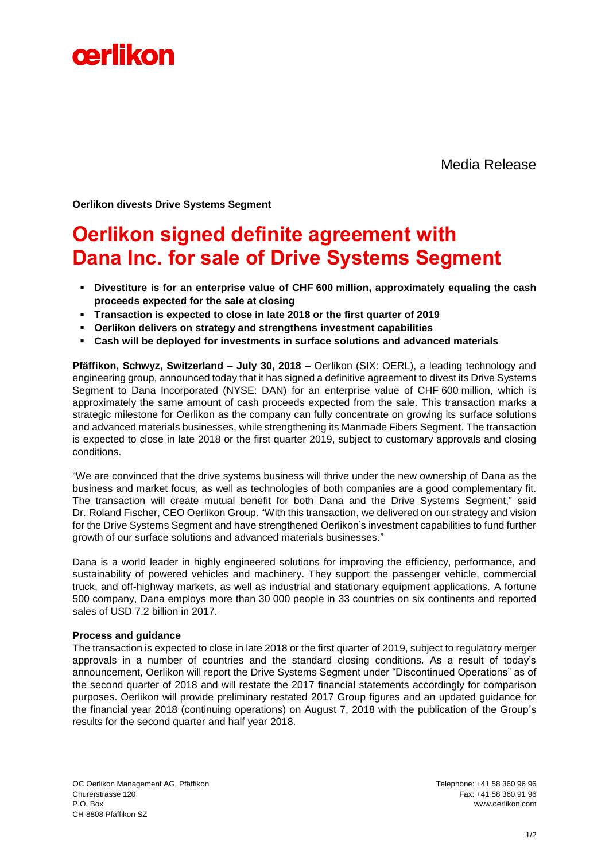

Media Release

**Oerlikon divests Drive Systems Segment**

## **Oerlikon signed definite agreement with Dana Inc. for sale of Drive Systems Segment**

- **Divestiture is for an enterprise value of CHF 600 million, approximately equaling the cash proceeds expected for the sale at closing**
- **Transaction is expected to close in late 2018 or the first quarter of 2019**
- **Oerlikon delivers on strategy and strengthens investment capabilities**
- **Cash will be deployed for investments in surface solutions and advanced materials**

**Pfäffikon, Schwyz, Switzerland – July 30, 2018 –** Oerlikon (SIX: OERL), a leading technology and engineering group, announced today that it has signed a definitive agreement to divest its Drive Systems Segment to Dana Incorporated (NYSE: DAN) for an enterprise value of CHF 600 million, which is approximately the same amount of cash proceeds expected from the sale. This transaction marks a strategic milestone for Oerlikon as the company can fully concentrate on growing its surface solutions and advanced materials businesses, while strengthening its Manmade Fibers Segment. The transaction is expected to close in late 2018 or the first quarter 2019, subject to customary approvals and closing conditions.

"We are convinced that the drive systems business will thrive under the new ownership of Dana as the business and market focus, as well as technologies of both companies are a good complementary fit. The transaction will create mutual benefit for both Dana and the Drive Systems Segment," said Dr. Roland Fischer, CEO Oerlikon Group. "With this transaction, we delivered on our strategy and vision for the Drive Systems Segment and have strengthened Oerlikon's investment capabilities to fund further growth of our surface solutions and advanced materials businesses."

Dana is a world leader in highly engineered solutions for improving the efficiency, performance, and sustainability of powered vehicles and machinery. They support the passenger vehicle, commercial truck, and off-highway markets, as well as industrial and stationary equipment applications. A fortune 500 company, Dana employs more than 30 000 people in 33 countries on six continents and reported sales of USD 7.2 billion in 2017.

#### **Process and guidance**

The transaction is expected to close in late 2018 or the first quarter of 2019, subject to regulatory merger approvals in a number of countries and the standard closing conditions. As a result of today's announcement, Oerlikon will report the Drive Systems Segment under "Discontinued Operations" as of the second quarter of 2018 and will restate the 2017 financial statements accordingly for comparison purposes. Oerlikon will provide preliminary restated 2017 Group figures and an updated guidance for the financial year 2018 (continuing operations) on August 7, 2018 with the publication of the Group's results for the second quarter and half year 2018.